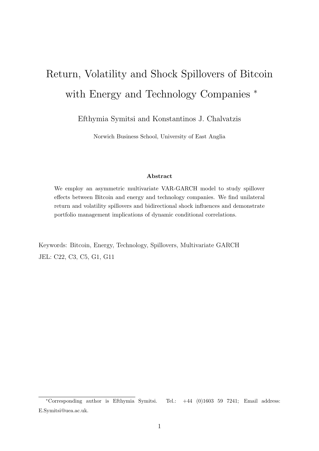# <span id="page-0-0"></span>Return, Volatility and Shock Spillovers of Bitcoin with Energy and Technology Companies  $*$

Efthymia Symitsi and Konstantinos J. Chalvatzis

Norwich Business School, University of East Anglia

#### Abstract

We employ an asymmetric multivariate VAR-GARCH model to study spillover effects between Bitcoin and energy and technology companies. We find unilateral return and volatility spillovers and bidirectional shock influences and demonstrate portfolio management implications of dynamic conditional correlations.

Keywords: Bitcoin, Energy, Technology, Spillovers, Multivariate GARCH JEL: C22, C3, C5, G1, G11

<sup>∗</sup>Corresponding author is Efthymia Symitsi. Tel.: +44 (0)1603 59 7241; Email address: E.Symitsi@uea.ac.uk.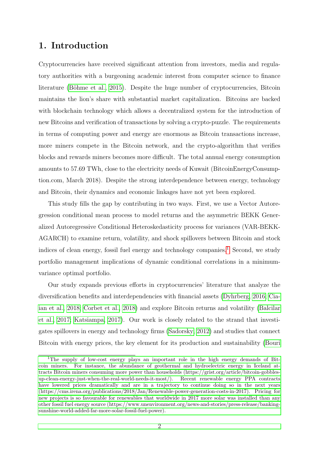## 1. Introduction

Cryptocurrencies have received significant attention from investors, media and regulatory authorities with a burgeoning academic interest from computer science to finance literature (Böhme et al., 2015). Despite the huge number of cryptocurrencies, Bitcoin maintains the lion's share with substantial market capitalization. Bitcoins are backed with blockchain technology which allows a decentralized system for the introduction of new Bitcoins and verification of transactions by solving a crypto-puzzle. The requirements in terms of computing power and energy are enormous as Bitcoin transactions increase, more miners compete in the Bitcoin network, and the crypto-algorithm that verifies blocks and rewards miners becomes more difficult. The total annual energy consumption amounts to 57.69 TWh, close to the electricity needs of Kuwait (BitcoinEnergyConsumption.com, March 2018). Despite the strong interdependence between energy, technology and Bitcoin, their dynamics and economic linkages have not yet been explored.

This study fills the gap by contributing in two ways. First, we use a Vector Autoregression conditional mean process to model returns and the asymmetric BEKK Generalized Autoregressive Conditional Heteroskedasticity process for variances (VAR-BEKK-AGARCH) to examine return, volatility, and shock spillovers between Bitcoin and stock indices of clean energy, fossil fuel energy and technology companies.<sup>[1](#page-0-0)</sup> Second, we study portfolio management implications of dynamic conditional correlations in a minimumvariance optimal portfolio.

Our study expands previous efforts in cryptocurrencies' literature that analyze the diversification benefits and interdependencies with financial assets [\(Dyhrberg, 2016;](#page-7-1) [Cia](#page-7-2)[ian et al., 2018;](#page-7-2) [Corbet et al., 2018\)](#page-7-3) and explore Bitcoin returns and volatility [\(Balcilar](#page-7-4) [et al., 2017;](#page-7-4) [Katsiampa, 2017\)](#page-8-0). Our work is closely related to the strand that investigates spillovers in energy and technology firms [\(Sadorsky, 2012\)](#page-8-1) and studies that connect Bitcoin with energy prices, the key element for its production and sustainability [\(Bouri](#page-7-5)

<sup>1</sup>[The supply of low-cost energy plays an important role in the high energy demands of Bit](#page-7-5)[coin miners. For instance, the abundance of geothermal and hydroelectric energy in Iceland at](#page-7-5)[tracts Bitcoin miners consuming more power than households \(https://grist.org/article/bitcoin-gobbles](#page-7-5)[up-clean-energy-just-when-the-real-world-needs-it-most/\). Recent renewable energy PPA contracts](#page-7-5) [have lowered prices dramatically and are in a trajectory to continue doing so in the next years](#page-7-5) [\(https://cms.irena.org/publications/2018/Jan/Renewable-power-generation-costs-in-2017\). Pricing for](#page-7-5) [new projects is so favourable for renewables that worldwide in 2017 more solar was installed than any](#page-7-5) [other fossil fuel energy source \(https://www.unenvironment.org/news-and-stories/press-release/banking](#page-7-5)[sunshine-world-added-far-more-solar-fossil-fuel-power\).](#page-7-5)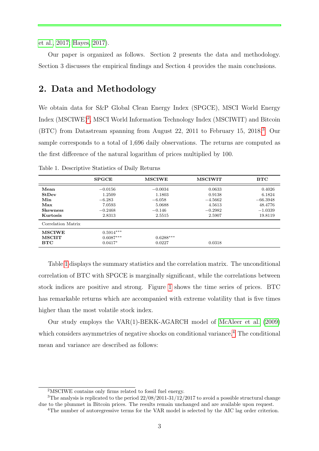[et al., 2017;](#page-7-5) [Hayes, 2017\)](#page-7-6).

Our paper is organized as follows. Section 2 presents the data and methodology. Section 3 discusses the empirical findings and Section 4 provides the main conclusions.

#### 2. Data and Methodology

We obtain data for S&P Global Clean Energy Index (SPGCE), MSCI World Energy Index (MSCIWE)<sup>[2](#page-0-0)</sup>, MSCI World Information Technology Index (MSCIWIT) and Bitcoin (BTC) from Datastream spanning from August 22, 2011 to February 15, 2018.[3](#page-0-0) Our sample corresponds to a total of 1,696 daily observations. The returns are computed as the first difference of the natural logarithm of prices multiplied by 100.

|                                             | <b>SPGCE</b>                            | <b>MSCIWE</b>         | <b>MSCIWIT</b> | <b>BTC</b> |
|---------------------------------------------|-----------------------------------------|-----------------------|----------------|------------|
| Mean                                        | $-0.0156$                               | $-0.0034$             | 0.0633         | 0.4026     |
| <b>StDev</b>                                | 1.2509                                  | 1.1803                | 0.9138         | 6.1824     |
| Min                                         | $-6.283$                                | $-6.058$              | $-4.5662$      | $-66.3948$ |
| Max                                         | 7.0593                                  | 5.0688                | 4.5613         | 48.4776    |
| <b>Skewness</b>                             | $-0.2468$                               | $-0.146$              | $-0.2982$      | $-1.0339$  |
| Kurtosis                                    | 2.8313                                  | 2.5515                | 2.5907         | 19.8119    |
| Correlation Matrix                          |                                         |                       |                |            |
| <b>MSCIWE</b><br><b>MSCHT</b><br><b>BTC</b> | $0.5914***$<br>$0.6087***$<br>$0.0417*$ | $0.6288***$<br>0.0227 | 0.0318         |            |

<span id="page-2-0"></span>Table 1. Descriptive Statistics of Daily Returns

Table [1](#page-2-0) displays the summary statistics and the correlation matrix. The unconditional correlation of BTC with SPGCE is marginally significant, while the correlations between stock indices are positive and strong. Figure [1](#page-3-0) shows the time series of prices. BTC has remarkable returns which are accompanied with extreme volatility that is five times higher than the most volatile stock index.

Our study employs the VAR(1)-BEKK-AGARCH model of [McAleer et al.](#page-8-2) [\(2009\)](#page-8-2) which considers asymmetries of negative shocks on conditional variance.<sup>[4](#page-0-0)</sup> The conditional mean and variance are described as follows:

<sup>2</sup>MSCIWE contains only firms related to fossil fuel energy.

<sup>&</sup>lt;sup>3</sup>The analysis is replicated to the period  $22/08/2011-31/12/2017$  to avoid a possible structural change due to the plummet in Bitcoin prices. The results remain unchanged and are available upon request.

<sup>&</sup>lt;sup>4</sup>The number of autoregressive terms for the VAR model is selected by the AIC lag order criterion.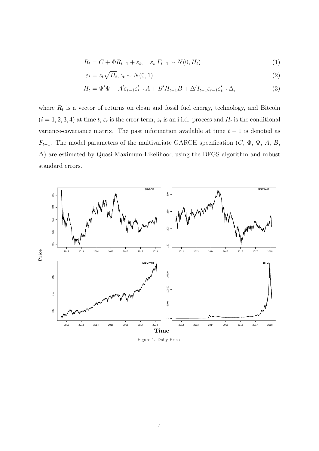$$
R_t = C + \Phi R_{t-1} + \varepsilon_t, \quad \varepsilon_t | F_{t-1} \sim N(0, H_t)
$$
\n
$$
\tag{1}
$$

$$
\varepsilon_t = z_t \sqrt{H_t}, z_t \sim N(0, 1) \tag{2}
$$

$$
H_t = \Psi'\Psi + A'\varepsilon_{t-1}\varepsilon'_{t-1}A + B'H_{t-1}B + \Delta'I_{t-1}\varepsilon_{t-1}\varepsilon'_{t-1}\Delta,\tag{3}
$$

where  $R_t$  is a vector of returns on clean and fossil fuel energy, technology, and Bitcoin  $(i = 1, 2, 3, 4)$  at time t;  $\varepsilon_t$  is the error term;  $z_t$  is an i.i.d. process and  $H_t$  is the conditional variance-covariance matrix. The past information available at time  $t - 1$  is denoted as  $F_{t-1}$ . The model parameters of the multivariate GARCH specification (C,  $\Phi$ ,  $\Psi$ , A, B, ∆) are estimated by Quasi-Maximum-Likelihood using the BFGS algorithm and robust standard errors.

<span id="page-3-0"></span>

Figure 1. Daily Prices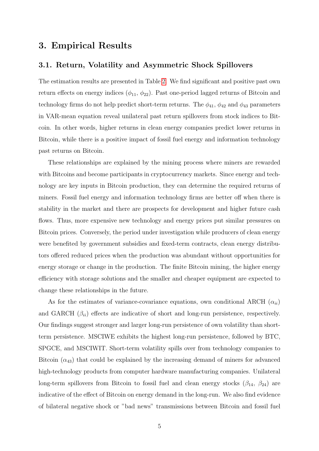#### 3. Empirical Results

#### 3.1. Return, Volatility and Asymmetric Shock Spillovers

The estimation results are presented in Table [2.](#page-5-0) We find significant and positive past own return effects on energy indices  $(\phi_{11}, \phi_{22})$ . Past one-period lagged returns of Bitcoin and technology firms do not help predict short-term returns. The  $\phi_{41}$ ,  $\phi_{42}$  and  $\phi_{43}$  parameters in VAR-mean equation reveal unilateral past return spillovers from stock indices to Bitcoin. In other words, higher returns in clean energy companies predict lower returns in Bitcoin, while there is a positive impact of fossil fuel energy and information technology past returns on Bitcoin.

These relationships are explained by the mining process where miners are rewarded with Bitcoins and become participants in cryptocurrency markets. Since energy and technology are key inputs in Bitcoin production, they can determine the required returns of miners. Fossil fuel energy and information technology firms are better off when there is stability in the market and there are prospects for development and higher future cash flows. Thus, more expensive new technology and energy prices put similar pressures on Bitcoin prices. Conversely, the period under investigation while producers of clean energy were benefited by government subsidies and fixed-term contracts, clean energy distributors offered reduced prices when the production was abundant without opportunities for energy storage or change in the production. The finite Bitcoin mining, the higher energy efficiency with storage solutions and the smaller and cheaper equipment are expected to change these relationships in the future.

As for the estimates of variance-covariance equations, own conditional ARCH  $(\alpha_{ii})$ and GARCH  $(\beta_{ii})$  effects are indicative of short and long-run persistence, respectively. Our findings suggest stronger and larger long-run persistence of own volatility than shortterm persistence. MSCIWE exhibits the highest long-run persistence, followed by BTC, SPGCE, and MSCIWIT. Short-term volatility spills over from technology companies to Bitcoin  $(\alpha_{43})$  that could be explained by the increasing demand of miners for advanced high-technology products from computer hardware manufacturing companies. Unilateral long-term spillovers from Bitcoin to fossil fuel and clean energy stocks  $(\beta_{14}, \beta_{24})$  are indicative of the effect of Bitcoin on energy demand in the long-run. We also find evidence of bilateral negative shock or "bad news" transmissions between Bitcoin and fossil fuel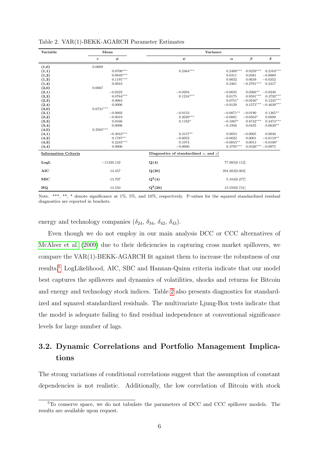| Variable                    |             | Mean         | Variance                                                          |                       |                    |                       |
|-----------------------------|-------------|--------------|-------------------------------------------------------------------|-----------------------|--------------------|-----------------------|
|                             | $\mathbf c$ | $\phi$       | $\psi$                                                            | $\boldsymbol{\alpha}$ | $\beta$            | δ                     |
| (1,0)                       | 0.0009      |              |                                                                   |                       |                    |                       |
| (1,1)                       |             | $0.0700***$  | $0.2464***$                                                       | $0.2400***$           | $0.9259***$        | $0.2163***$           |
| (1,2)                       |             | $0.0849***$  |                                                                   | 0.0311                | 0.0381             | $-0.0069$             |
| (1,3)                       |             | $0.1191***$  |                                                                   | 0.0032                | 0.0639             | $-0.0352$             |
| (1,4)                       |             | 0.0043       |                                                                   | 0.3461                | $-0.2791***$       | 0.2317                |
| (2,0)                       | 0.0067      |              |                                                                   |                       |                    |                       |
| (2,1)                       |             | $-0.0222$    | $-0.0294$                                                         | $-0.0035$             | $0.0266**$         | $-0.0240$             |
| (2,2)                       |             | $0.0784***$  | $0.1234***$                                                       | 0.0175                | $0.9591***$        | $0.3792***$           |
| (2,3)                       |             | 0.0064       |                                                                   | $0.0751*$             | $-0.0240*$         | $0.1245***$           |
| (2,4)                       |             | 0.0006       |                                                                   | $-0.0129$             |                    | $0.1575***-0.4639***$ |
| (3,0)                       | $0.0731***$ |              |                                                                   |                       |                    |                       |
| (3,1)                       |             | $-0.0002$    | $-0.0153$                                                         | $-0.0871**$           | $-0.0190$          | $0.1365**$            |
| (3,2)                       |             | $-0.0019$    | $0.2029***$                                                       | $-0.0881$             | $-0.0563*$         | 0.0099                |
| (3,3)                       |             | 0.0346       | $0.1182*$                                                         | $-0.1067*$            | $0.8742***$        | $0.3474***$           |
| (3,4)                       |             | 0.0006       |                                                                   | $-0.1956$             | 0.0435             | $0.6630**$            |
| (4,0)                       | $0.2565***$ |              |                                                                   |                       |                    |                       |
| (4,1)                       |             | $-0.3043***$ | $0.3157**$                                                        | 0.0053                | $-0.0005$          | 0.0040                |
| (4,2)                       |             | $0.1787**$   | $-0.0052$                                                         | $-0.0022$             | 0.0001             | $-0.0110**$           |
| (4,3)                       |             | $0.2245***$  | 0.1074                                                            | $-0.0053**$           | 0.0013             | $-0.0100*$            |
| (4,4)                       |             | 0.0006       | $-0.0000$                                                         | $0.3795***$           | $0.9326***-0.0975$ |                       |
| <b>Information Criteria</b> |             |              | Diagnostics of standardized $\varepsilon_t$ and $\varepsilon_t^2$ |                       |                    |                       |
| LogL                        |             | $-11320.132$ | Q(4)                                                              | 77.985[0.112]         |                    |                       |
| <b>AIC</b>                  |             | 13.457       | Q(20)                                                             | 394.203[0.003]        |                    |                       |
| SBC                         |             | 13.707       | $Q^2(4)$                                                          | 5.104 $[0.277]$       |                    |                       |
| HQ                          |             | 13.550       | $Q^2(20)$                                                         | 15.559[0.741]         |                    |                       |

<span id="page-5-0"></span>Table 2. VAR(1)-BEKK-AGARCH Parameter Estimates

Note. \*\*\*, \*\*, \* denote significance at 1%, 5%, and 10%, respectively. P-values for the squared standardized residual diagnostics are reported in brackets.

energy and technology companies  $(\delta_{24}, \delta_{34}, \delta_{42}, \delta_{43})$ .

Even though we do not employ in our main analysis DCC or CCC alternatives of [McAleer et al.](#page-8-2) [\(2009\)](#page-8-2) due to their deficiencies in capturing cross market spillovers, we compare the VAR(1)-BEKK-AGARCH fit against them to increase the robustness of our results.[5](#page-0-0) LogLikelihood, AIC, SBC and Hannan-Quinn criteria indicate that our model best captures the spillovers and dynamics of volatilities, shocks and returns for Bitcoin and energy and technology stock indices. Table [2](#page-5-0) also presents diagnostics for standardized and squared standardized residuals. The multivariate Ljung-Box tests indicate that the model is adequate failing to find residual independence at conventional significance levels for large number of lags.

### 3.2. Dynamic Correlations and Portfolio Management Implications

The strong variations of conditional correlations suggest that the assumption of constant dependencies is not realistic. Additionally, the low correlation of Bitcoin with stock

<sup>5</sup>To conserve space, we do not tabulate the parameters of DCC and CCC spillover models. The results are available upon request.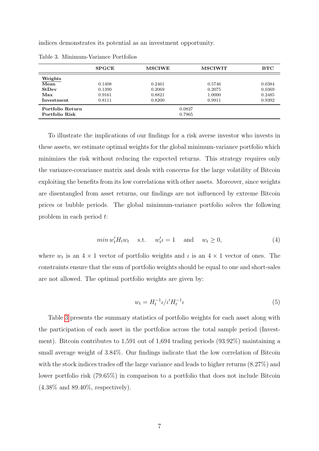indices demonstrates its potential as an investment opportunity.

|                            | <b>SPGCE</b> | <b>MSCIWE</b> | <b>MSCIWIT</b> | $_{\rm BTC}$ |  |
|----------------------------|--------------|---------------|----------------|--------------|--|
| Weights                    |              |               |                |              |  |
| Mean                       | 0.1408       | 0.2461        | 0.5746         | 0.0384       |  |
| StDev                      | 0.1390       | 0.2069        | 0.2075         | 0.0369       |  |
| Max                        | 0.9161       | 0.8821        | 1.0000         | 0.2485       |  |
| Investment                 | 0.8111       | 0.8200        | 0.9911         | 0.9392       |  |
| Portfolio Return<br>0.0827 |              |               |                |              |  |
| Portfolio Risk             | 0.7965       |               |                |              |  |

<span id="page-6-0"></span>Table 3. Minimum-Variance Portfolios

To illustrate the implications of our findings for a risk averse investor who invests in these assets, we estimate optimal weights for the global minimum-variance portfolio which minimizes the risk without reducing the expected returns. This strategy requires only the variance-covariance matrix and deals with concerns for the large volatility of Bitcoin exploiting the benefits from its low correlations with other assets. Moreover, since weights are disentangled from asset returns, our findings are not influenced by extreme Bitcoin prices or bubble periods. The global minimum-variance portfolio solves the following problem in each period t:

$$
min w'_t H_t w_t \quad \text{s.t.} \quad w'_t = 1 \quad \text{and} \quad w_t \ge 0,
$$
\n<sup>(4)</sup>

where  $w_t$  is an  $4 \times 1$  vector of portfolio weights and  $\iota$  is an  $4 \times 1$  vector of ones. The constraints ensure that the sum of portfolio weights should be equal to one and short-sales are not allowed. The optimal portfolio weights are given by:

$$
w_t = H_t^{-1} \iota / \iota' H_t^{-1} \iota \tag{5}
$$

Table [3](#page-6-0) presents the summary statistics of portfolio weights for each asset along with the participation of each asset in the portfolios across the total sample period (Investment). Bitcoin contributes to 1,591 out of 1,694 trading periods (93.92%) maintaining a small average weight of 3.84%. Our findings indicate that the low correlation of Bitcoin with the stock indices trades off the large variance and leads to higher returns (8.27%) and lower portfolio risk (79.65%) in comparison to a portfolio that does not include Bitcoin (4.38% and 89.40%, respectively).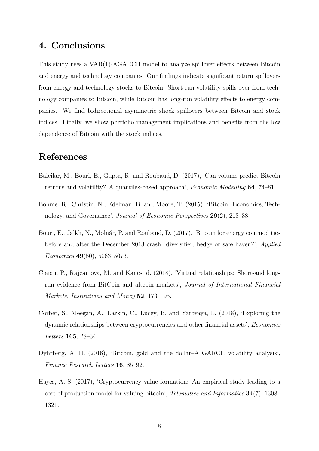### 4. Conclusions

This study uses a VAR(1)-AGARCH model to analyze spillover effects between Bitcoin and energy and technology companies. Our findings indicate significant return spillovers from energy and technology stocks to Bitcoin. Short-run volatility spills over from technology companies to Bitcoin, while Bitcoin has long-run volatility effects to energy companies. We find bidirectional asymmetric shock spillovers between Bitcoin and stock indices. Finally, we show portfolio management implications and benefits from the low dependence of Bitcoin with the stock indices.

#### References

- <span id="page-7-4"></span>Balcilar, M., Bouri, E., Gupta, R. and Roubaud, D. (2017), 'Can volume predict Bitcoin returns and volatility? A quantiles-based approach', Economic Modelling 64, 74–81.
- <span id="page-7-0"></span>Böhme, R., Christin, N., Edelman, B. and Moore, T. (2015), 'Bitcoin: Economics, Technology, and Governance', Journal of Economic Perspectives 29(2), 213–38.
- <span id="page-7-5"></span>Bouri, E., Jalkh, N., Molnár, P. and Roubaud, D. (2017), 'Bitcoin for energy commodities before and after the December 2013 crash: diversifier, hedge or safe haven?', Applied Economics 49(50), 5063–5073.
- <span id="page-7-2"></span>Ciaian, P., Rajcaniova, M. and Kancs, d. (2018), 'Virtual relationships: Short-and longrun evidence from BitCoin and altcoin markets', Journal of International Financial Markets, Institutions and Money 52, 173–195.
- <span id="page-7-3"></span>Corbet, S., Meegan, A., Larkin, C., Lucey, B. and Yarovaya, L. (2018), 'Exploring the dynamic relationships between cryptocurrencies and other financial assets', Economics Letters 165, 28–34.
- <span id="page-7-1"></span>Dyhrberg, A. H. (2016), 'Bitcoin, gold and the dollar–A GARCH volatility analysis', Finance Research Letters 16, 85–92.
- <span id="page-7-6"></span>Hayes, A. S. (2017), 'Cryptocurrency value formation: An empirical study leading to a cost of production model for valuing bitcoin', Telematics and Informatics 34(7), 1308– 1321.